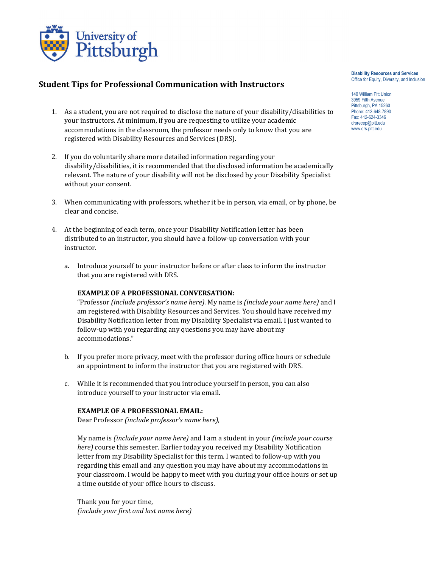

## **Student Tips for Professional Communication with Instructors**

- 1. As a student, you are not required to disclose the nature of your disability/disabilities to your instructors. At minimum, if you are requesting to utilize your academic accommodations in the classroom, the professor needs only to know that you are registered with Disability Resources and Services (DRS).
- 2. If you do voluntarily share more detailed information regarding your disability/disabilities, it is recommended that the disclosed information be academically relevant. The nature of your disability will not be disclosed by your Disability Specialist without your consent.
- 3. When communicating with professors, whether it be in person, via email, or by phone, be clear and concise.
- 4. At the beginning of each term, once your Disability Notification letter has been distributed to an instructor, you should have a follow-up conversation with your instructor.
	- a. Introduce yourself to your instructor before or after class to inform the instructor that you are registered with DRS.

## **EXAMPLE OF A PROFESSIONAL CONVERSATION:**

"Professor *(include professor's name here)*. My name is *(include your name here)* and I am registered with Disability Resources and Services. You should have received my Disability Notification letter from my Disability Specialist via email. I just wanted to follow-up with you regarding any questions you may have about my accommodations."

- b. If you prefer more privacy, meet with the professor during office hours or schedule an appointment to inform the instructor that you are registered with DRS.
- c. While it is recommended that you introduce yourself in person, you can also introduce yourself to your instructor via email.

## **EXAMPLE OF A PROFESSIONAL EMAIL:**

Dear Professor *(include professor's name here)*,

My name is *(include your name here)* and I am a student in your *(include your course here)* course this semester. Earlier today you received my Disability Notification letter from my Disability Specialist for this term. I wanted to follow-up with you regarding this email and any question you may have about my accommodations in your classroom. I would be happy to meet with you during your office hours or set up a time outside of your office hours to discuss.

Thank you for your time, *(include your first and last name here)* **Disability Resources and Services** Office for Equity, Diversity, and Inclusion

140 William Pitt Union 3959 Fifth Avenue Pittsburgh, PA 15260 Phone: 412-648-7890 Fax: 412-624-3346 drsrecep@pitt.edu www.drs.pitt.edu